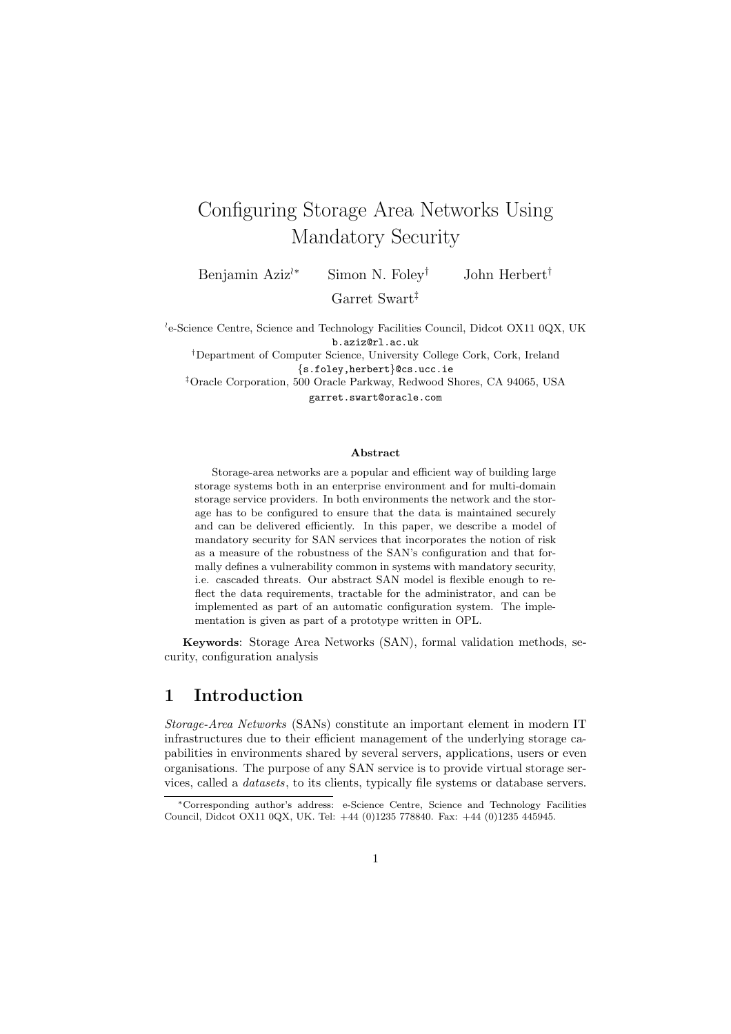# Configuring Storage Area Networks Using Mandatory Security

Benjamin Aziz≀∗ Simon N. Foley† John Herbert†

Garret Swart‡

≀ e-Science Centre, Science and Technology Facilities Council, Didcot OX11 0QX, UK b.aziz@rl.ac.uk

†Department of Computer Science, University College Cork, Cork, Ireland {s.foley,herbert}@cs.ucc.ie

‡Oracle Corporation, 500 Oracle Parkway, Redwood Shores, CA 94065, USA garret.swart@oracle.com

#### Abstract

Storage-area networks are a popular and efficient way of building large storage systems both in an enterprise environment and for multi-domain storage service providers. In both environments the network and the storage has to be configured to ensure that the data is maintained securely and can be delivered efficiently. In this paper, we describe a model of mandatory security for SAN services that incorporates the notion of risk as a measure of the robustness of the SAN's configuration and that formally defines a vulnerability common in systems with mandatory security, i.e. cascaded threats. Our abstract SAN model is flexible enough to reflect the data requirements, tractable for the administrator, and can be implemented as part of an automatic configuration system. The implementation is given as part of a prototype written in OPL.

Keywords: Storage Area Networks (SAN), formal validation methods, security, configuration analysis

# 1 Introduction

Storage-Area Networks (SANs) constitute an important element in modern IT infrastructures due to their efficient management of the underlying storage capabilities in environments shared by several servers, applications, users or even organisations. The purpose of any SAN service is to provide virtual storage services, called a datasets, to its clients, typically file systems or database servers.

<sup>∗</sup>Corresponding author's address: e-Science Centre, Science and Technology Facilities Council, Didcot OX11 0QX, UK. Tel: +44 (0)1235 778840. Fax: +44 (0)1235 445945.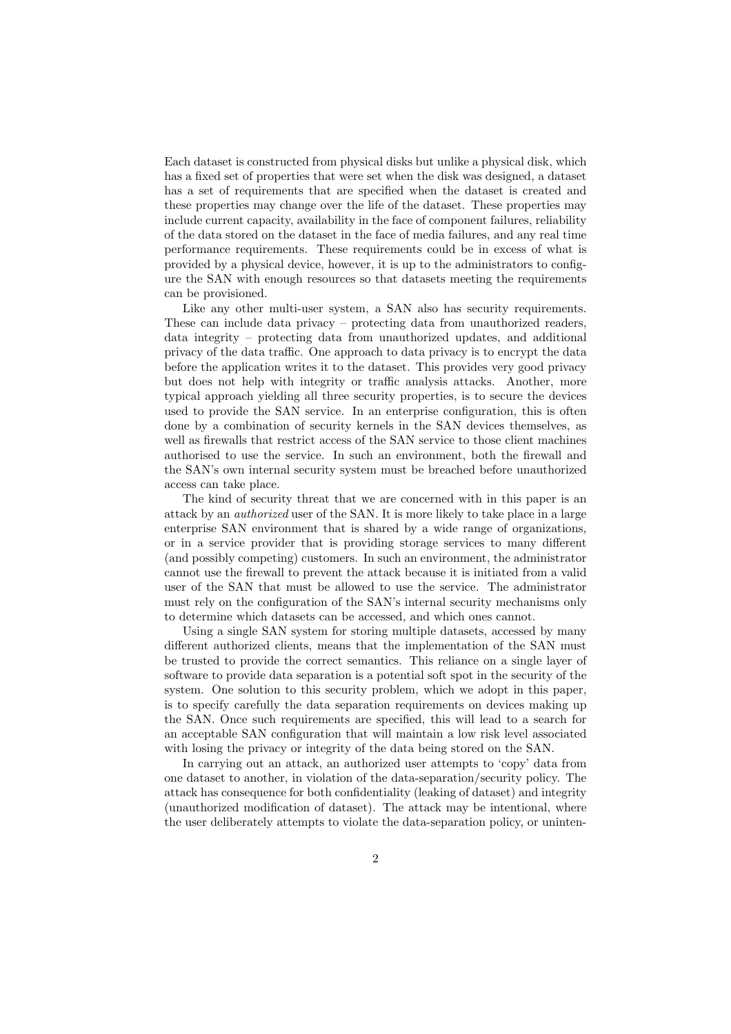Each dataset is constructed from physical disks but unlike a physical disk, which has a fixed set of properties that were set when the disk was designed, a dataset has a set of requirements that are specified when the dataset is created and these properties may change over the life of the dataset. These properties may include current capacity, availability in the face of component failures, reliability of the data stored on the dataset in the face of media failures, and any real time performance requirements. These requirements could be in excess of what is provided by a physical device, however, it is up to the administrators to configure the SAN with enough resources so that datasets meeting the requirements can be provisioned.

Like any other multi-user system, a SAN also has security requirements. These can include data privacy – protecting data from unauthorized readers, data integrity – protecting data from unauthorized updates, and additional privacy of the data traffic. One approach to data privacy is to encrypt the data before the application writes it to the dataset. This provides very good privacy but does not help with integrity or traffic analysis attacks. Another, more typical approach yielding all three security properties, is to secure the devices used to provide the SAN service. In an enterprise configuration, this is often done by a combination of security kernels in the SAN devices themselves, as well as firewalls that restrict access of the SAN service to those client machines authorised to use the service. In such an environment, both the firewall and the SAN's own internal security system must be breached before unauthorized access can take place.

The kind of security threat that we are concerned with in this paper is an attack by an authorized user of the SAN. It is more likely to take place in a large enterprise SAN environment that is shared by a wide range of organizations, or in a service provider that is providing storage services to many different (and possibly competing) customers. In such an environment, the administrator cannot use the firewall to prevent the attack because it is initiated from a valid user of the SAN that must be allowed to use the service. The administrator must rely on the configuration of the SAN's internal security mechanisms only to determine which datasets can be accessed, and which ones cannot.

Using a single SAN system for storing multiple datasets, accessed by many different authorized clients, means that the implementation of the SAN must be trusted to provide the correct semantics. This reliance on a single layer of software to provide data separation is a potential soft spot in the security of the system. One solution to this security problem, which we adopt in this paper, is to specify carefully the data separation requirements on devices making up the SAN. Once such requirements are specified, this will lead to a search for an acceptable SAN configuration that will maintain a low risk level associated with losing the privacy or integrity of the data being stored on the SAN.

In carrying out an attack, an authorized user attempts to 'copy' data from one dataset to another, in violation of the data-separation/security policy. The attack has consequence for both confidentiality (leaking of dataset) and integrity (unauthorized modification of dataset). The attack may be intentional, where the user deliberately attempts to violate the data-separation policy, or uninten-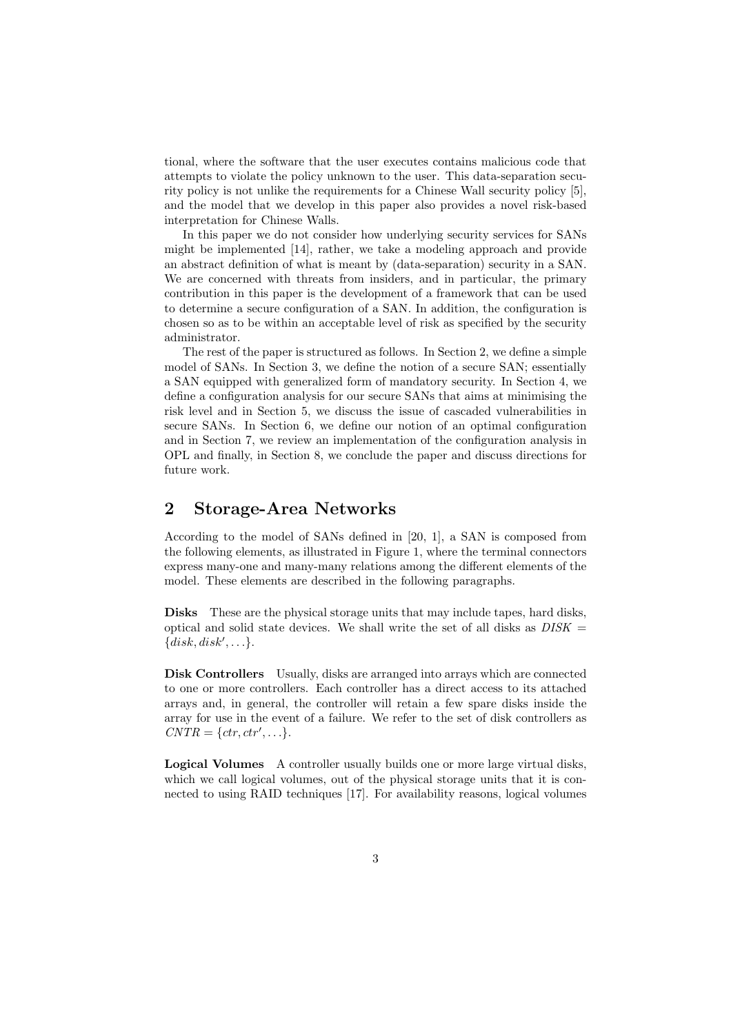tional, where the software that the user executes contains malicious code that attempts to violate the policy unknown to the user. This data-separation security policy is not unlike the requirements for a Chinese Wall security policy [5], and the model that we develop in this paper also provides a novel risk-based interpretation for Chinese Walls.

In this paper we do not consider how underlying security services for SANs might be implemented [14], rather, we take a modeling approach and provide an abstract definition of what is meant by (data-separation) security in a SAN. We are concerned with threats from insiders, and in particular, the primary contribution in this paper is the development of a framework that can be used to determine a secure configuration of a SAN. In addition, the configuration is chosen so as to be within an acceptable level of risk as specified by the security administrator.

The rest of the paper is structured as follows. In Section 2, we define a simple model of SANs. In Section 3, we define the notion of a secure SAN; essentially a SAN equipped with generalized form of mandatory security. In Section 4, we define a configuration analysis for our secure SANs that aims at minimising the risk level and in Section 5, we discuss the issue of cascaded vulnerabilities in secure SANs. In Section 6, we define our notion of an optimal configuration and in Section 7, we review an implementation of the configuration analysis in OPL and finally, in Section 8, we conclude the paper and discuss directions for future work.

# 2 Storage-Area Networks

According to the model of SANs defined in [20, 1], a SAN is composed from the following elements, as illustrated in Figure 1, where the terminal connectors express many-one and many-many relations among the different elements of the model. These elements are described in the following paragraphs.

Disks These are the physical storage units that may include tapes, hard disks, optical and solid state devices. We shall write the set of all disks as  $DISK =$  $\{disk, disk', \ldots\}.$ 

Disk Controllers Usually, disks are arranged into arrays which are connected to one or more controllers. Each controller has a direct access to its attached arrays and, in general, the controller will retain a few spare disks inside the array for use in the event of a failure. We refer to the set of disk controllers as  $CNTR = \{ctr,ctr',\ldots\}.$ 

Logical Volumes A controller usually builds one or more large virtual disks, which we call logical volumes, out of the physical storage units that it is connected to using RAID techniques [17]. For availability reasons, logical volumes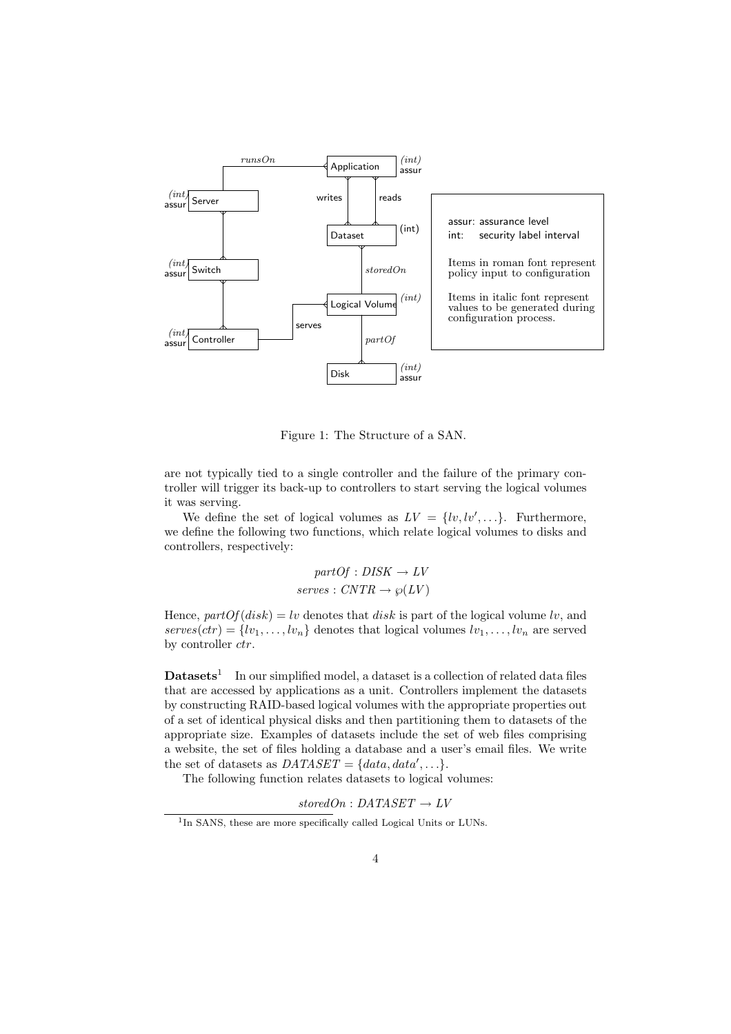

Figure 1: The Structure of a SAN.

are not typically tied to a single controller and the failure of the primary controller will trigger its back-up to controllers to start serving the logical volumes it was serving.

We define the set of logical volumes as  $LV = \{lv, lv', ...\}$ . Furthermore, we define the following two functions, which relate logical volumes to disks and controllers, respectively:

$$
partOf : DISK \to LV
$$
  
serves :  $CNTR \to \wp(LV)$ 

Hence,  $partOf(disk) = lw$  denotes that disk is part of the logical volume lv, and  $serves(ctr) = \{lv_1, \ldots,lv_n\}$  denotes that logical volumes  $lv_1, \ldots,lv_n$  are served by controller *ctr*.

 $\textbf{Datasets}^1$  In our simplified model, a dataset is a collection of related data files that are accessed by applications as a unit. Controllers implement the datasets by constructing RAID-based logical volumes with the appropriate properties out of a set of identical physical disks and then partitioning them to datasets of the appropriate size. Examples of datasets include the set of web files comprising a website, the set of files holding a database and a user's email files. We write the set of datasets as  $DATASET = \{data, data', ...\}$ .

The following function relates datasets to logical volumes:

 $storedOn : DATASET \rightarrow LV$ 

<sup>&</sup>lt;sup>1</sup>In SANS, these are more specifically called Logical Units or LUNs.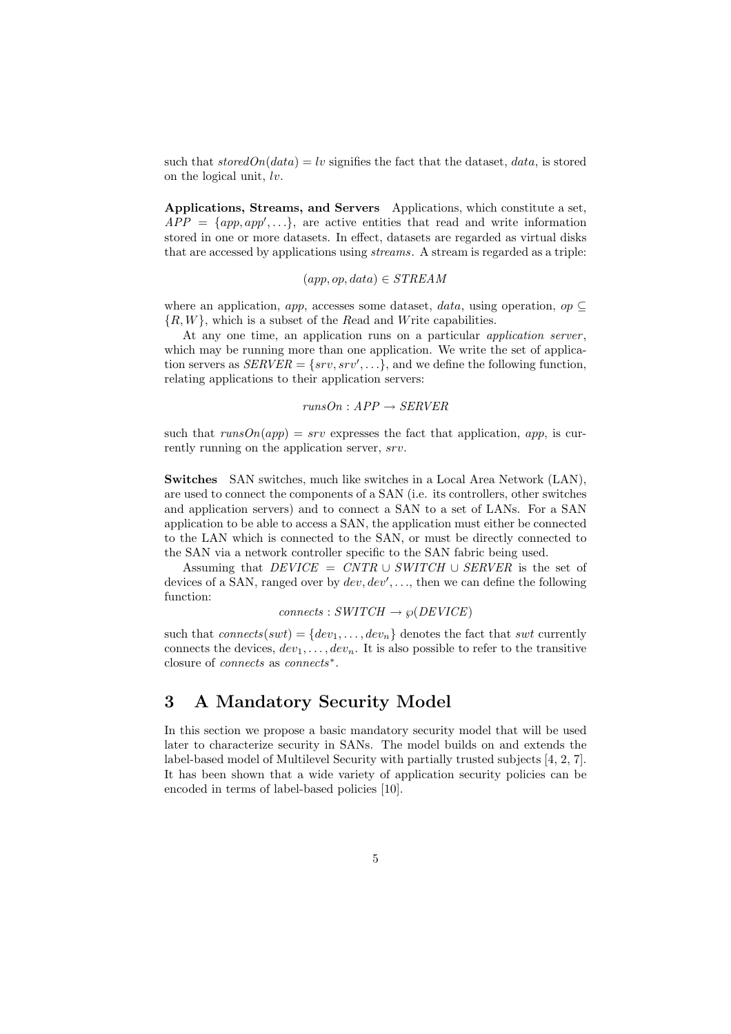such that stored $On(data) = lw$  signifies the fact that the dataset, data, is stored on the logical unit, lv.

Applications, Streams, and Servers Applications, which constitute a set,  $APP = \{app, app', \ldots\},$  are active entities that read and write information stored in one or more datasets. In effect, datasets are regarded as virtual disks that are accessed by applications using streams. A stream is regarded as a triple:

$$
(app, op, data) \in STREAM
$$

where an application, app, accesses some dataset, data, using operation, op  $\subseteq$  ${R, W}$ , which is a subset of the Read and Write capabilities.

At any one time, an application runs on a particular *application server*, which may be running more than one application. We write the set of application servers as  $SERVER = \{srv, srv', \ldots\}$ , and we define the following function, relating applications to their application servers:

$$
runsOn: APP \rightarrow SERVER
$$

such that  $runsOn(ap) = srv$  expresses the fact that application, app, is currently running on the application server, srv.

Switches SAN switches, much like switches in a Local Area Network (LAN), are used to connect the components of a SAN (i.e. its controllers, other switches and application servers) and to connect a SAN to a set of LANs. For a SAN application to be able to access a SAN, the application must either be connected to the LAN which is connected to the SAN, or must be directly connected to the SAN via a network controller specific to the SAN fabric being used.

Assuming that  $DEVICE = CNTR \cup SWITCH \cup SERVER$  is the set of devices of a SAN, ranged over by  $dev, dev', \ldots$ , then we can define the following function:

$$
connects: SWITCH \rightarrow \wp(DEVICE)
$$

such that  $connect(swt) = \{dev_1, \ldots, dev_n\}$  denotes the fact that swt currently connects the devices,  $dev_1, \ldots, dev_n$ . It is also possible to refer to the transitive closure of *connects* as *connects*<sup>\*</sup>.

# 3 A Mandatory Security Model

In this section we propose a basic mandatory security model that will be used later to characterize security in SANs. The model builds on and extends the label-based model of Multilevel Security with partially trusted subjects [4, 2, 7]. It has been shown that a wide variety of application security policies can be encoded in terms of label-based policies [10].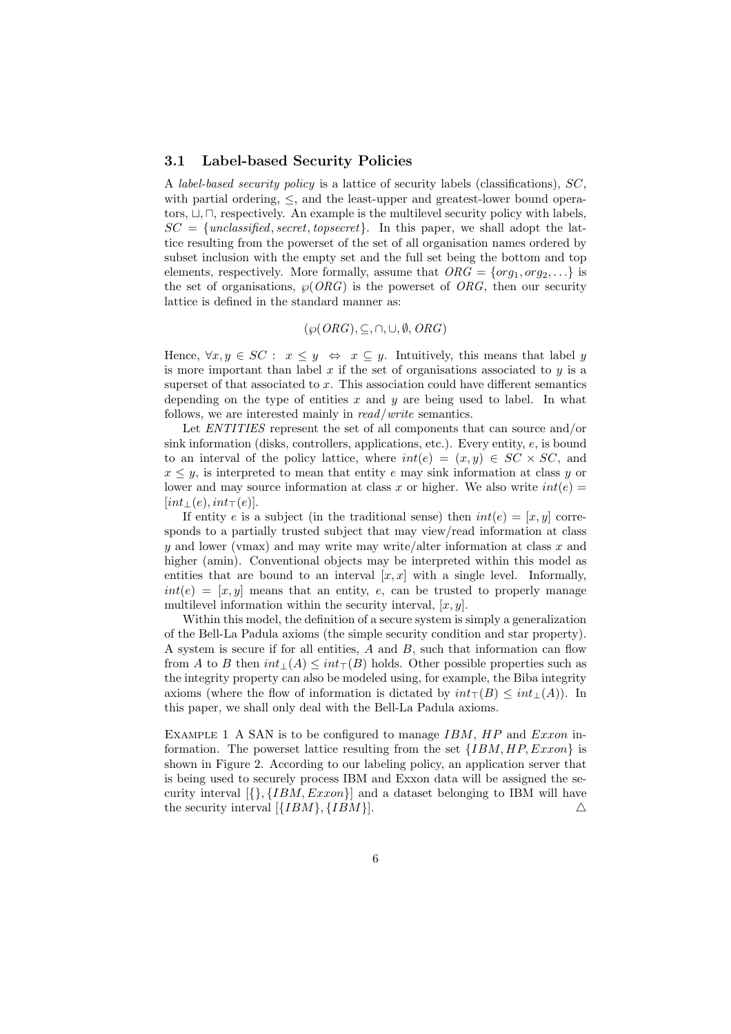#### 3.1 Label-based Security Policies

A label-based security policy is a lattice of security labels (classifications), SC, with partial ordering,  $\leq$ , and the least-upper and greatest-lower bound operators, ⊔,⊓, respectively. An example is the multilevel security policy with labels,  $SC = \{unclassified, secret, topsecret\}.$  In this paper, we shall adopt the lattice resulting from the powerset of the set of all organisation names ordered by subset inclusion with the empty set and the full set being the bottom and top elements, respectively. More formally, assume that  $ORG = \{org_1, org_2, \ldots\}$  is the set of organisations,  $\wp(ORG)$  is the powerset of ORG, then our security lattice is defined in the standard manner as:

$$
(\wp(ORG), \subseteq, \cap, \cup, \emptyset, \text{ORG})
$$

Hence,  $\forall x, y \in SC : x \leq y \Leftrightarrow x \subseteq y$ . Intuitively, this means that label y is more important than label  $x$  if the set of organisations associated to  $y$  is a superset of that associated to x. This association could have different semantics depending on the type of entities x and y are being used to label. In what follows, we are interested mainly in read/write semantics.

Let *ENTITIES* represent the set of all components that can source and/or sink information (disks, controllers, applications, etc.). Every entity, e, is bound to an interval of the policy lattice, where  $int(e) = (x, y) \in SC \times SC$ , and  $x \leq y$ , is interpreted to mean that entity e may sink information at class y or lower and may source information at class x or higher. We also write  $int(e)$  $[int_{\perp}(e), int_{\top}(e)].$ 

If entity e is a subject (in the traditional sense) then  $int(e) = [x, y]$  corresponds to a partially trusted subject that may view/read information at class y and lower (vmax) and may write may write/alter information at class  $x$  and higher (amin). Conventional objects may be interpreted within this model as entities that are bound to an interval  $[x, x]$  with a single level. Informally,  $int(e) = [x, y]$  means that an entity, e, can be trusted to properly manage multilevel information within the security interval,  $[x, y]$ .

Within this model, the definition of a secure system is simply a generalization of the Bell-La Padula axioms (the simple security condition and star property). A system is secure if for all entities, A and B, such that information can flow from A to B then  $int_{\perp}(A) \leq int_{\top}(B)$  holds. Other possible properties such as the integrity property can also be modeled using, for example, the Biba integrity axioms (where the flow of information is dictated by  $int<sub>⊤</sub>(B) < int<sub>⊥</sub>(A)$ ). In this paper, we shall only deal with the Bell-La Padula axioms.

EXAMPLE 1 A SAN is to be configured to manage  $IBM$ ,  $HP$  and  $Exxon$  information. The powerset lattice resulting from the set  $\{IBM, HP, Exxon\}$  is shown in Figure 2. According to our labeling policy, an application server that is being used to securely process IBM and Exxon data will be assigned the security interval  $\{\}, \{IBM, Exxon\}$  and a dataset belonging to IBM will have the security interval  $\{IBM\}, \{IBM\}$ .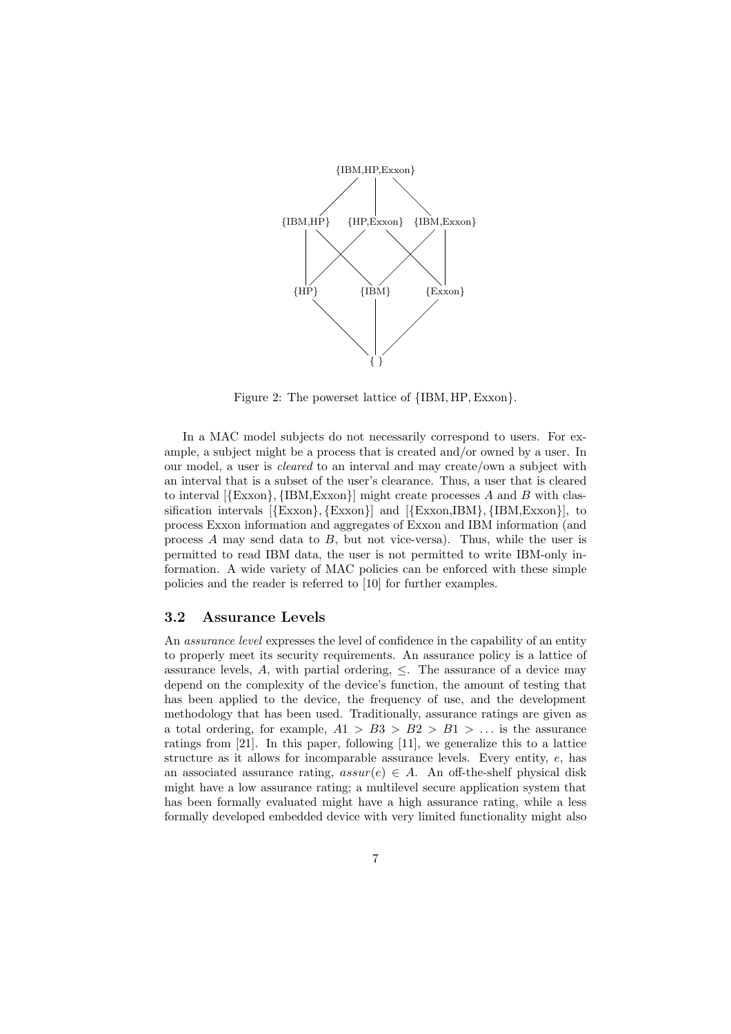

Figure 2: The powerset lattice of  ${IBM, HP, Exxon}$ .

In a MAC model subjects do not necessarily correspond to users. For example, a subject might be a process that is created and/or owned by a user. In our model, a user is cleared to an interval and may create/own a subject with an interval that is a subset of the user's clearance. Thus, a user that is cleared to interval  $[\{Exxon\}, \{IBM.Exxon\}]$  might create processes A and B with classification intervals [{Exxon}, {Exxon}] and [{Exxon,IBM}, {IBM,Exxon}], to process Exxon information and aggregates of Exxon and IBM information (and process  $A$  may send data to  $B$ , but not vice-versa). Thus, while the user is permitted to read IBM data, the user is not permitted to write IBM-only information. A wide variety of MAC policies can be enforced with these simple policies and the reader is referred to [10] for further examples.

#### 3.2 Assurance Levels

An assurance level expresses the level of confidence in the capability of an entity to properly meet its security requirements. An assurance policy is a lattice of assurance levels, A, with partial ordering,  $\leq$ . The assurance of a device may depend on the complexity of the device's function, the amount of testing that has been applied to the device, the frequency of use, and the development methodology that has been used. Traditionally, assurance ratings are given as a total ordering, for example,  $A1 > B3 > B2 > B1 > ...$  is the assurance ratings from [21]. In this paper, following [11], we generalize this to a lattice structure as it allows for incomparable assurance levels. Every entity, e, has an associated assurance rating,  $assur(e) \in A$ . An off-the-shelf physical disk might have a low assurance rating; a multilevel secure application system that has been formally evaluated might have a high assurance rating, while a less formally developed embedded device with very limited functionality might also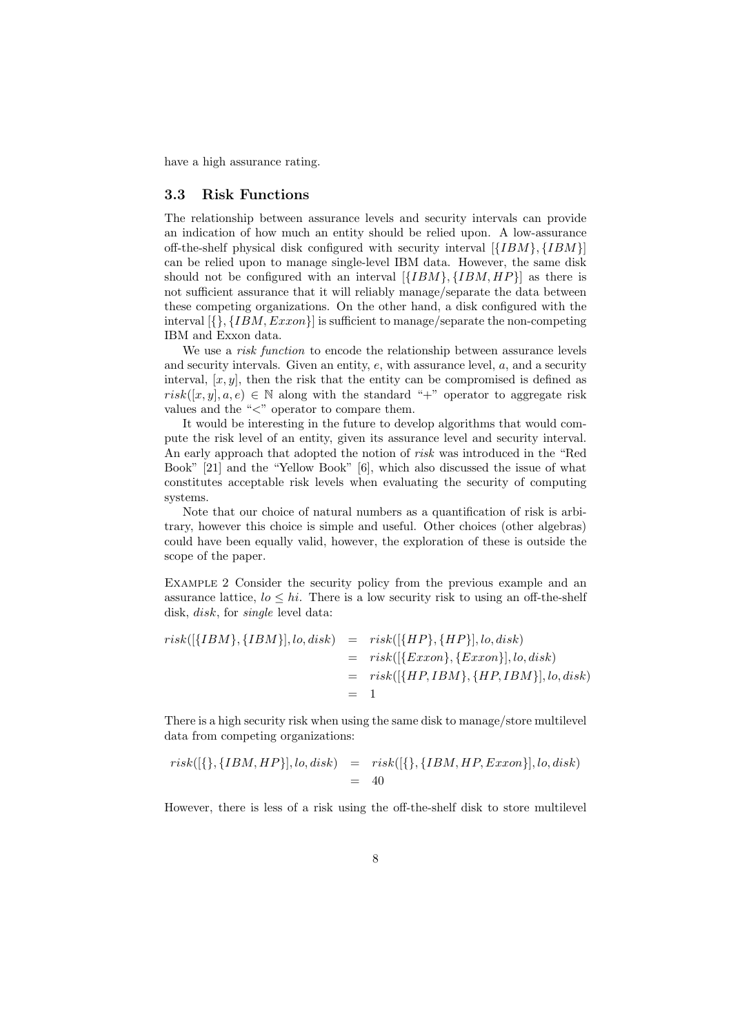have a high assurance rating.

#### 3.3 Risk Functions

The relationship between assurance levels and security intervals can provide an indication of how much an entity should be relied upon. A low-assurance off-the-shelf physical disk configured with security interval  $\{IBM\}$ ,  $\{IBM\}$ can be relied upon to manage single-level IBM data. However, the same disk should not be configured with an interval  $[\{IBM\}, \{IBM, HP\}]$  as there is not sufficient assurance that it will reliably manage/separate the data between these competing organizations. On the other hand, a disk configured with the interval  $\{\}, \{IBM, Exxon\}$  is sufficient to manage/separate the non-competing IBM and Exxon data.

We use a *risk function* to encode the relationship between assurance levels and security intervals. Given an entity,  $e$ , with assurance level,  $a$ , and a security interval,  $[x, y]$ , then the risk that the entity can be compromised is defined as  $risk([x, y], a, e) \in \mathbb{N}$  along with the standard "+" operator to aggregate risk values and the "<" operator to compare them.

It would be interesting in the future to develop algorithms that would compute the risk level of an entity, given its assurance level and security interval. An early approach that adopted the notion of risk was introduced in the "Red Book" [21] and the "Yellow Book" [6], which also discussed the issue of what constitutes acceptable risk levels when evaluating the security of computing systems.

Note that our choice of natural numbers as a quantification of risk is arbitrary, however this choice is simple and useful. Other choices (other algebras) could have been equally valid, however, the exploration of these is outside the scope of the paper.

Example 2 Consider the security policy from the previous example and an assurance lattice,  $l_0 \leq hi$ . There is a low security risk to using an off-the-shelf disk, *disk*, for *single* level data:

$$
risk([{IBM}, {IBM}], {lo}, disk) = risk([{HP}, {HP}], {lo}, disk)
$$
  
= risk([{Exxon}, {Exxon}], {lo}, disk)  
= risk([{HP}, IBM}, {HP}, IBM], {lo}, disk)  
= 1

There is a high security risk when using the same disk to manage/store multilevel data from competing organizations:

$$
risk([\{\}, \{IBM,HP\}], lo, disk) = risk([\{\}, \{IBM, HP, Exxon\}], lo, disk)
$$
  
= 40

However, there is less of a risk using the off-the-shelf disk to store multilevel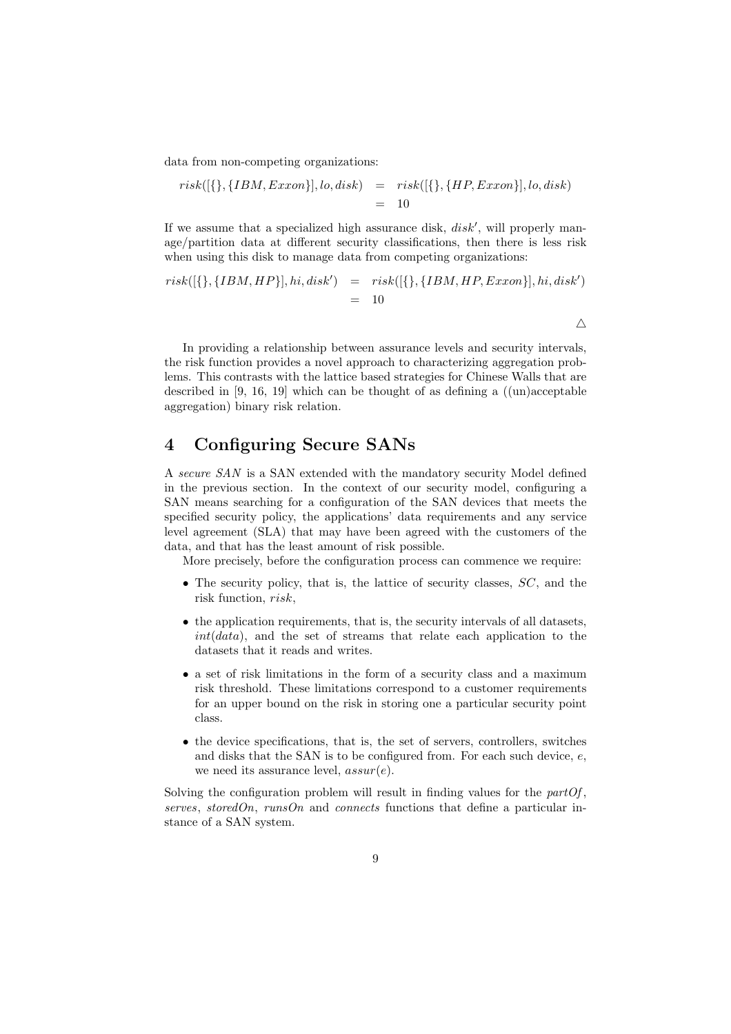data from non-competing organizations:

$$
risk([\{\}, \{IBM, Exxon\}], lo, disk) = risk([\{\}, \{HP, Exxon\}], lo, disk)
$$
  
= 10

If we assume that a specialized high assurance disk,  $disk'$ , will properly manage/partition data at different security classifications, then there is less risk when using this disk to manage data from competing organizations:

$$
risk([\{\}, \{IBM,HP\}], hi, disk') = risk([\{\}, \{IBM, HP, Exxon\}], hi, disk')= 10
$$

 $\triangle$ 

In providing a relationship between assurance levels and security intervals, the risk function provides a novel approach to characterizing aggregation problems. This contrasts with the lattice based strategies for Chinese Walls that are described in  $[9, 16, 19]$  which can be thought of as defining a  $((\text{un})$  acceptable aggregation) binary risk relation.

# 4 Configuring Secure SANs

A secure SAN is a SAN extended with the mandatory security Model defined in the previous section. In the context of our security model, configuring a SAN means searching for a configuration of the SAN devices that meets the specified security policy, the applications' data requirements and any service level agreement (SLA) that may have been agreed with the customers of the data, and that has the least amount of risk possible.

More precisely, before the configuration process can commence we require:

- The security policy, that is, the lattice of security classes,  $SC$ , and the risk function, risk,
- the application requirements, that is, the security intervals of all datasets,  $int(data)$ , and the set of streams that relate each application to the datasets that it reads and writes.
- a set of risk limitations in the form of a security class and a maximum risk threshold. These limitations correspond to a customer requirements for an upper bound on the risk in storing one a particular security point class.
- the device specifications, that is, the set of servers, controllers, switches and disks that the SAN is to be configured from. For each such device,  $e$ , we need its assurance level,  $assur(e)$ .

Solving the configuration problem will result in finding values for the *partOf*. serves, storedOn, runsOn and connects functions that define a particular instance of a SAN system.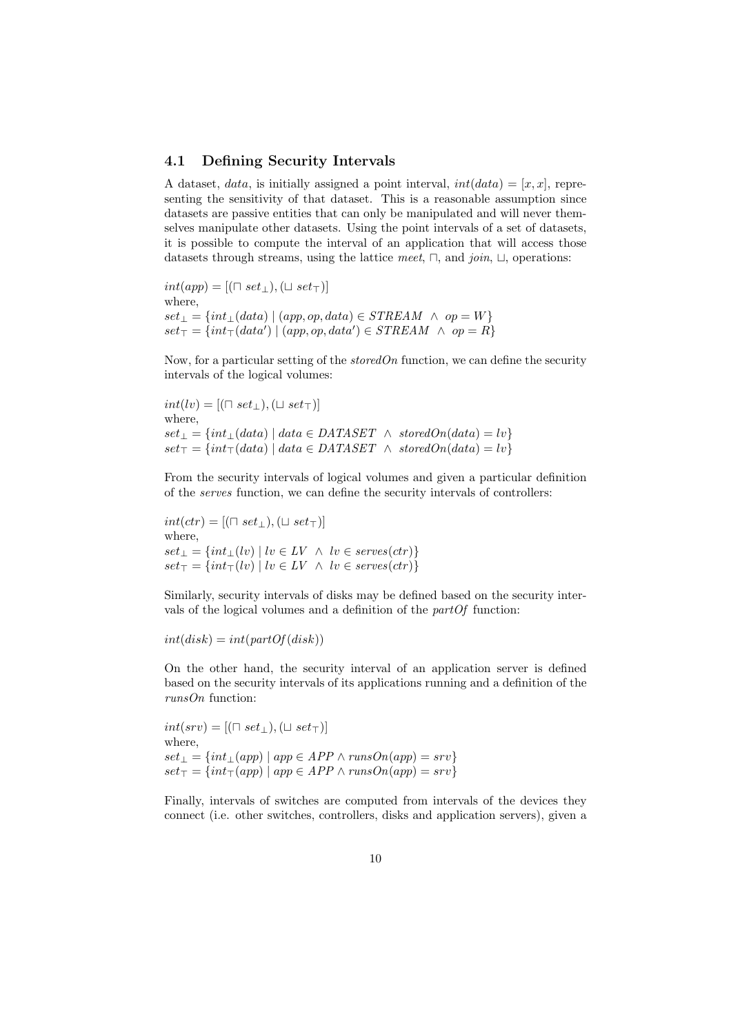#### 4.1 Defining Security Intervals

A dataset, data, is initially assigned a point interval,  $int(data) = [x, x]$ , representing the sensitivity of that dataset. This is a reasonable assumption since datasets are passive entities that can only be manipulated and will never themselves manipulate other datasets. Using the point intervals of a set of datasets, it is possible to compute the interval of an application that will access those datasets through streams, using the lattice meet, ⊓, and join, ⊔, operations:

 $int(app) = [(\sqcap set_{\perp}), (\sqcup set_{\top})]$ where,  $set_{\perp} = \{int_{\perp}(data) | (app, op, data) \in STREAM \land op = W\}$  $set_{\top} = \{int_{\top} (data') | (app, op, data') \in STREAM \land op = R\}$ 

Now, for a particular setting of the *storedOn* function, we can define the security intervals of the logical volumes:

$$
int(lv) = [(\sqcap set_{\perp}), (\sqcup set_{\top})]
$$
  
where,  

$$
set_{\perp} = \{int_{\perp} (data) | data \in DATASET \land storedOn(data) = lv \}
$$
  

$$
set_{\top} = \{int_{\top} (data) | data \in DATASET \land storedOn(data) = lv \}
$$

From the security intervals of logical volumes and given a particular definition of the serves function, we can define the security intervals of controllers:

 $int (ctr) = [(\square set_+), (\square set_{\top})]$ where,  $set_{\perp} = \{int_{\perp}(lv) |lv \in LV \wedge lv \in serves(ctr)\}$  $set_{\top} = \{int_{\top} (lv) | l v \in LV \land l v \in serves(ctr) \}$ 

Similarly, security intervals of disks may be defined based on the security intervals of the logical volumes and a definition of the partOf function:

 $int(disk) = int(partOf(disk))$ 

On the other hand, the security interval of an application server is defined based on the security intervals of its applications running and a definition of the runsOn function:

$$
int(srv) = [(\sqcap set_{\perp}), (\sqcup set_{\top})]
$$
  
where,  

$$
set_{\perp} = \{int_{\perp}(app) | app \in APP \land runsOn(app) = srv\}
$$
  

$$
set_{\top} = \{int_{\top}(app) | app \in APP \land runsOn(app) = srv\}
$$

Finally, intervals of switches are computed from intervals of the devices they connect (i.e. other switches, controllers, disks and application servers), given a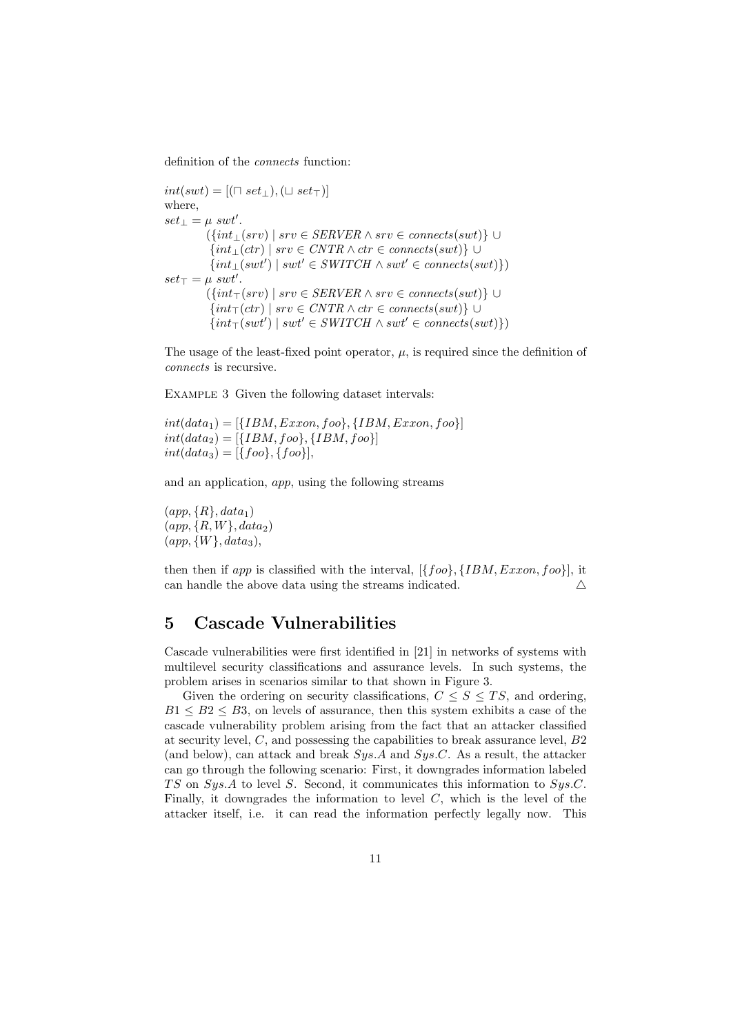definition of the connects function:

 $int(swt) = [(\sqcap set_{\perp}), (\sqcup set_{\top})]$ where,  $set_{\perp} = \mu \, swt'.$  $({\lbrace int_{\perp}(srv) \mid src \in SERVER \land src \in connects(swt)} \cup$  $\{int_{\lceil} (ctr) \rceil \, src \in \text{CNTR} \land \text{ctr} \in \text{connect}(swt) \} \cup$  $\{int_{\perp}(swt') | swt' \in SWITCH \wedge swt' \in connects(swt)\})$  $set_{\tau} = \mu \, swt'.$  $({\lbrace int_\top(srv) \mid src \in SERNER \land src \in connects(swt) \rbrace \cup$  $\{int_{\top}(ctr) | str \in CNTR \wedge cr \in connects(swt)\} \cup$  $\{int_{\top}(swt') | swt' \in SWITCH \wedge swt' \in connects(swt)\})$ 

The usage of the least-fixed point operator,  $\mu$ , is required since the definition of connects is recursive.

Example 3 Given the following dataset intervals:

```
int(data_1) = [{IBM, Exxon, foo}, {IBM, Exxon, foo}]int(data_2) = [{IBM,foo}, {IBM,foo}]int(data_3) = [{foo}, {foo}],
```
and an application, app, using the following streams

 $(app, {R}, data_1)$  $(app, {R, W}, data_2)$  $(app, \{W\}, data_3),$ 

then then if app is classified with the interval,  $[\{foo\}, \{IBM, Exxon, foo\}],$  it can handle the above data using the streams indicated.  $\triangle$ 

# 5 Cascade Vulnerabilities

Cascade vulnerabilities were first identified in [21] in networks of systems with multilevel security classifications and assurance levels. In such systems, the problem arises in scenarios similar to that shown in Figure 3.

Given the ordering on security classifications,  $C \leq S \leq TS$ , and ordering,  $B1 \leq B2 \leq B3$ , on levels of assurance, then this system exhibits a case of the cascade vulnerability problem arising from the fact that an attacker classified at security level, C, and possessing the capabilities to break assurance level, B2 (and below), can attack and break Sys.A and Sys.C. As a result, the attacker can go through the following scenario: First, it downgrades information labeled TS on Sys.A to level S. Second, it communicates this information to  $Sys.C.$ Finally, it downgrades the information to level  $C$ , which is the level of the attacker itself, i.e. it can read the information perfectly legally now. This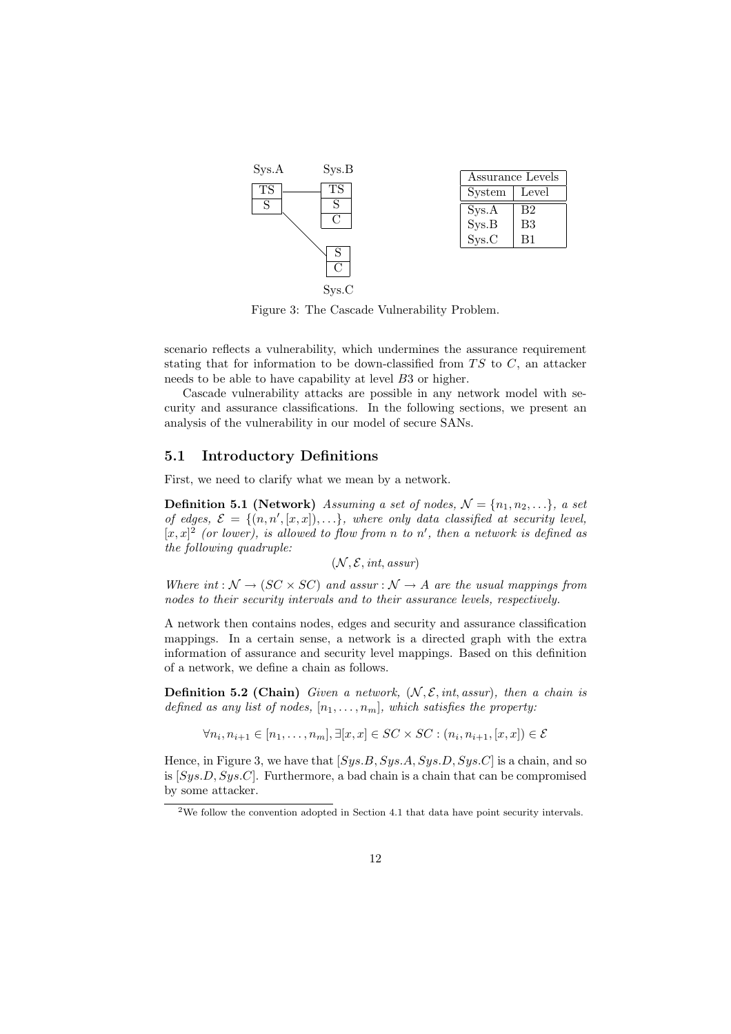

Figure 3: The Cascade Vulnerability Problem.

scenario reflects a vulnerability, which undermines the assurance requirement stating that for information to be down-classified from  $TS$  to  $C$ , an attacker needs to be able to have capability at level B3 or higher.

Cascade vulnerability attacks are possible in any network model with security and assurance classifications. In the following sections, we present an analysis of the vulnerability in our model of secure SANs.

### 5.1 Introductory Definitions

First, we need to clarify what we mean by a network.

**Definition 5.1 (Network)** Assuming a set of nodes,  $\mathcal{N} = \{n_1, n_2, \ldots\}$ , a set of edges,  $\mathcal{E} = \{(n, n', [x, x]), ...\}$ , where only data classified at security level,  $[x, x]^2$  (or lower), is allowed to flow from n to n', then a network is defined as the following quadruple:

 $(N, \mathcal{E}, int, assur)$ 

Where  $int: \mathcal{N} \to (SC \times SC)$  and assur :  $\mathcal{N} \to A$  are the usual mappings from nodes to their security intervals and to their assurance levels, respectively.

A network then contains nodes, edges and security and assurance classification mappings. In a certain sense, a network is a directed graph with the extra information of assurance and security level mappings. Based on this definition of a network, we define a chain as follows.

**Definition 5.2 (Chain)** Given a network,  $(N, \mathcal{E}, int, assur)$ , then a chain is defined as any list of nodes,  $[n_1, \ldots, n_m]$ , which satisfies the property:

$$
\forall n_i, n_{i+1} \in [n_1, \dots, n_m], \exists [x, x] \in SC \times SC : (n_i, n_{i+1}, [x, x]) \in \mathcal{E}
$$

Hence, in Figure 3, we have that  $[Sys. B, Sys. A, Sys. D, Sys. C]$  is a chain, and so is  $[Sys.D, Sys.C]$ . Furthermore, a bad chain is a chain that can be compromised by some attacker.

 $2$ We follow the convention adopted in Section 4.1 that data have point security intervals.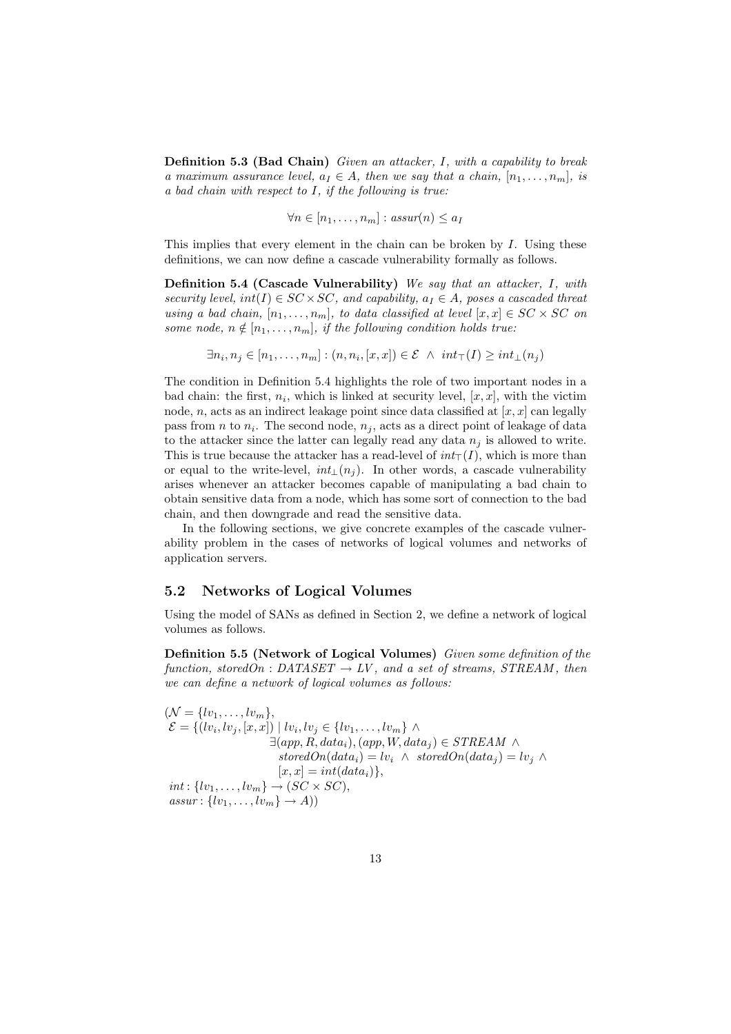Definition 5.3 (Bad Chain) Given an attacker, I, with a capability to break a maximum assurance level,  $a_I \in A$ , then we say that a chain,  $[n_1, \ldots, n_m]$ , is a bad chain with respect to I, if the following is true:

$$
\forall n \in [n_1, \ldots, n_m] : \text{assur}(n) \leq a_I
$$

This implies that every element in the chain can be broken by  $I$ . Using these definitions, we can now define a cascade vulnerability formally as follows.

Definition 5.4 (Cascade Vulnerability) We say that an attacker, I, with security level,  $int(I) \in SC \times SC$ , and capability,  $a_I \in A$ , poses a cascaded threat using a bad chain,  $[n_1, \ldots, n_m]$ , to data classified at level  $[x, x] \in SC \times SC$  on some node,  $n \notin [n_1, \ldots, n_m]$ , if the following condition holds true:

 $\exists n_i, n_j \in [n_1, \ldots, n_m] : (n, n_i, [x, x]) \in \mathcal{E} \land int_{\top}(I) \geq int_{\perp}(n_j)$ 

The condition in Definition 5.4 highlights the role of two important nodes in a bad chain: the first,  $n_i$ , which is linked at security level,  $[x, x]$ , with the victim node, n, acts as an indirect leakage point since data classified at  $[x, x]$  can legally pass from *n* to  $n_i$ . The second node,  $n_j$ , acts as a direct point of leakage of data to the attacker since the latter can legally read any data  $n_j$  is allowed to write. This is true because the attacker has a read-level of  $int_{\mathcal{T}}(I)$ , which is more than or equal to the write-level,  $int_{\perp}(n_i)$ . In other words, a cascade vulnerability arises whenever an attacker becomes capable of manipulating a bad chain to obtain sensitive data from a node, which has some sort of connection to the bad chain, and then downgrade and read the sensitive data.

In the following sections, we give concrete examples of the cascade vulnerability problem in the cases of networks of logical volumes and networks of application servers.

#### 5.2 Networks of Logical Volumes

Using the model of SANs as defined in Section 2, we define a network of logical volumes as follows.

Definition 5.5 (Network of Logical Volumes) Given some definition of the function, storedOn : DATASET  $\rightarrow LV$ , and a set of streams, STREAM, then we can define a network of logical volumes as follows:

 $(\mathcal{N} = \{lv_1, \ldots, lv_m\},\)$  $\mathcal{E} = \{ (lv_i, lv_j, [x, x]) \mid lv_i, lv_j \in \{lv_1, \ldots, lw_m\} \wedge$  $\exists (app, R, data_i), (app, W, data_j) \in STREAM \wedge$ stored $On(data_i) = iv_i \wedge storedOn(data_i) = iv_i \wedge$  $[x, x] = int(data_i)$ ,  $int: \{lv_1, \ldots, lv_m\} \rightarrow (SC \times SC),$  $assur: \{lv_1, \ldots, lv_m\} \rightarrow A)$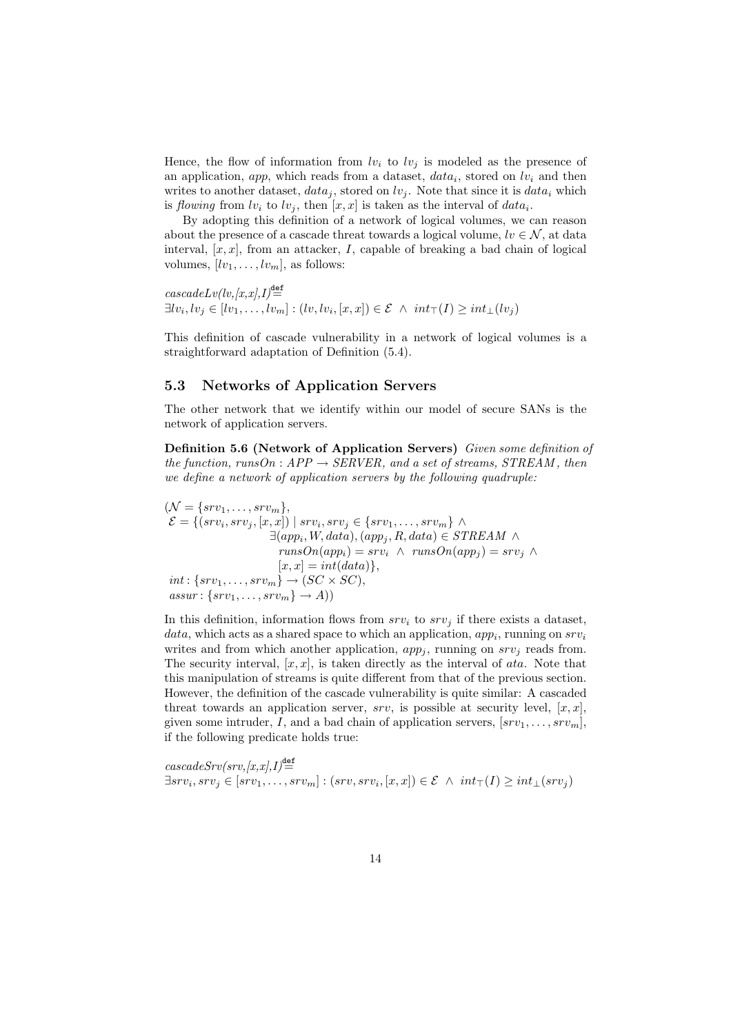Hence, the flow of information from  $lv_i$  to  $lv_j$  is modeled as the presence of an application,  $app$ , which reads from a dataset,  $data_i$ , stored on  $lv_i$  and then writes to another dataset,  $data_j$ , stored on  $lv_j$ . Note that since it is  $data_i$  which is flowing from  $lv_i$  to  $lv_j$ , then  $[x, x]$  is taken as the interval of  $data_i$ .

By adopting this definition of a network of logical volumes, we can reason about the presence of a cascade threat towards a logical volume,  $lv \in \mathcal{N}$ , at data interval,  $[x, x]$ , from an attacker, I, capable of breaking a bad chain of logical volumes,  $[lv_1, \ldots, l v_m]$ , as follows:

 $cascaleLv(lv,[x,x],I)^{\text{def}}$  $\exists l v_i, l v_j \in [l v_1, \ldots, l v_m] : (l v, l v_i, [x, x]) \in \mathcal{E} \land int_\top(I) \geq int_\bot(l v_j)$ 

This definition of cascade vulnerability in a network of logical volumes is a straightforward adaptation of Definition (5.4).

#### 5.3 Networks of Application Servers

The other network that we identify within our model of secure SANs is the network of application servers.

Definition 5.6 (Network of Application Servers) Given some definition of the function, runsOn :  $APP \rightarrow SERVER$ , and a set of streams,  $STREAM$ , then we define a network of application servers by the following quadruple:

 $(\mathcal{N} = \{srv_1, \ldots, srv_m\},\)$  $\mathcal{E} = \{(srv_i, srv_j, [x, x]) \mid srv_i, srv_j \in \{srv_1, \ldots, srv_m\} \wedge$  $\exists (app_i, W, data), (app_j, R, data) \in STREAM \wedge$  $runsOn(app_i) = srv_i \wedge runsOn(app_i) = srv_i \wedge$  $[x, x] = int(data),$  $int: \{srv_1, \ldots, srv_m\} \rightarrow (SC \times SC),$  $assur: \{srv_1, \ldots, srv_m\} \rightarrow A)$ 

In this definition, information flows from  $srv_i$  to  $srv_j$  if there exists a dataset,  $data$ , which acts as a shared space to which an application,  $app_i$ , running on  $srv_i$ writes and from which another application,  $app<sub>j</sub>$ , running on  $srv<sub>j</sub>$  reads from. The security interval,  $[x, x]$ , is taken directly as the interval of *ata*. Note that this manipulation of streams is quite different from that of the previous section. However, the definition of the cascade vulnerability is quite similar: A cascaded threat towards an application server, srv, is possible at security level,  $[x, x]$ , given some intruder, I, and a bad chain of application servers,  $[srv_1, \ldots, sv_m]$ , if the following predicate holds true:

 $casea de Srv (srv,[x,x],I) \smash{\stackrel{\textrm{def}}{=}}$  $\exists srv_i, srv_j \in [srv_1, \ldots, srv_m] : (srv, srv_i, [x, x]) \in \mathcal{E} \ \wedge \ int_{\top}(I) \geq int_{\perp}(srv_j)$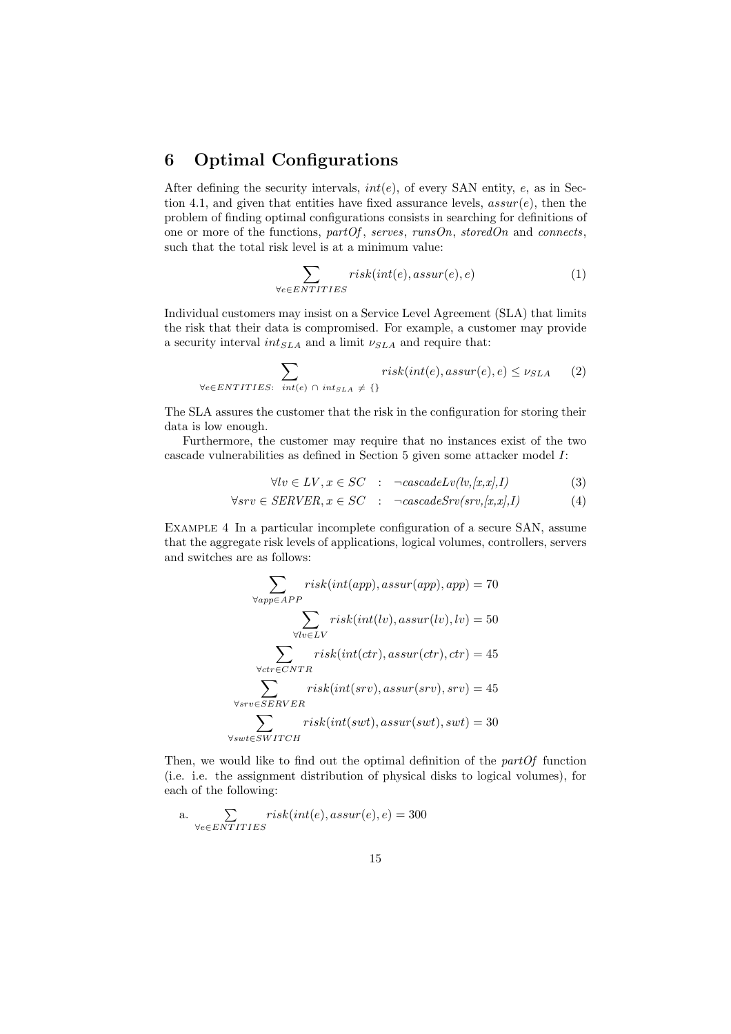# 6 Optimal Configurations

After defining the security intervals,  $int(e)$ , of every SAN entity, e, as in Section 4.1, and given that entities have fixed assurance levels,  $assur(e)$ , then the problem of finding optimal configurations consists in searching for definitions of one or more of the functions,  $partOf$ , serves, runsOn, storedOn and connects, such that the total risk level is at a minimum value:

$$
\sum_{\forall e \in ENTITIES} risk(int(e), assume(e), e) \tag{1}
$$

Individual customers may insist on a Service Level Agreement (SLA) that limits the risk that their data is compromised. For example, a customer may provide a security interval  $int_{SLA}$  and a limit  $\nu_{SLA}$  and require that:

$$
\sum_{\forall e \in \text{ENTITIES:} \quad int(e) \cap int_{SLA} \neq \{\}} risk(int(e), assume(e), e) \leq \nu_{SLA} \tag{2}
$$

The SLA assures the customer that the risk in the configuration for storing their data is low enough.

Furthermore, the customer may require that no instances exist of the two cascade vulnerabilities as defined in Section 5 given some attacker model I:

$$
\forall lw \in LV, x \in SC \quad : \quad \neg cascadeLv(lv,[x,x],I) \tag{3}
$$

$$
\forall srv \in SERNER, x \in SC \quad : \quad \neg cascadeSrv(srv,[x,x], I) \tag{4}
$$

EXAMPLE 4 In a particular incomplete configuration of a secure SAN, assume that the aggregate risk levels of applications, logical volumes, controllers, servers and switches are as follows:

$$
\sum_{\forall app \in APP} risk(int(app), assur(app), app) = 70
$$
  
\n
$$
\sum_{\forall l v \in LV} risk(int(lv), assur(lv), l v) = 50
$$
  
\n
$$
\sum_{\forall c \in \text{CNTR}} risk(int(ctr), assur(ctr), ctr) = 45
$$
  
\n
$$
\sum_{\forall srv \in SERNUR} risk(int(srv), assur(srv), srv) = 45
$$
  
\n
$$
\sum_{\forall swt \in SWITCH} risk(int(swt), assur(swt), swt) = 30
$$

Then, we would like to find out the optimal definition of the  $partOf$  function (i.e. i.e. the assignment distribution of physical disks to logical volumes), for each of the following:

a. 
$$
\sum_{\forall e \in ENTITIES} risk(int(e), assume(e), e) = 300
$$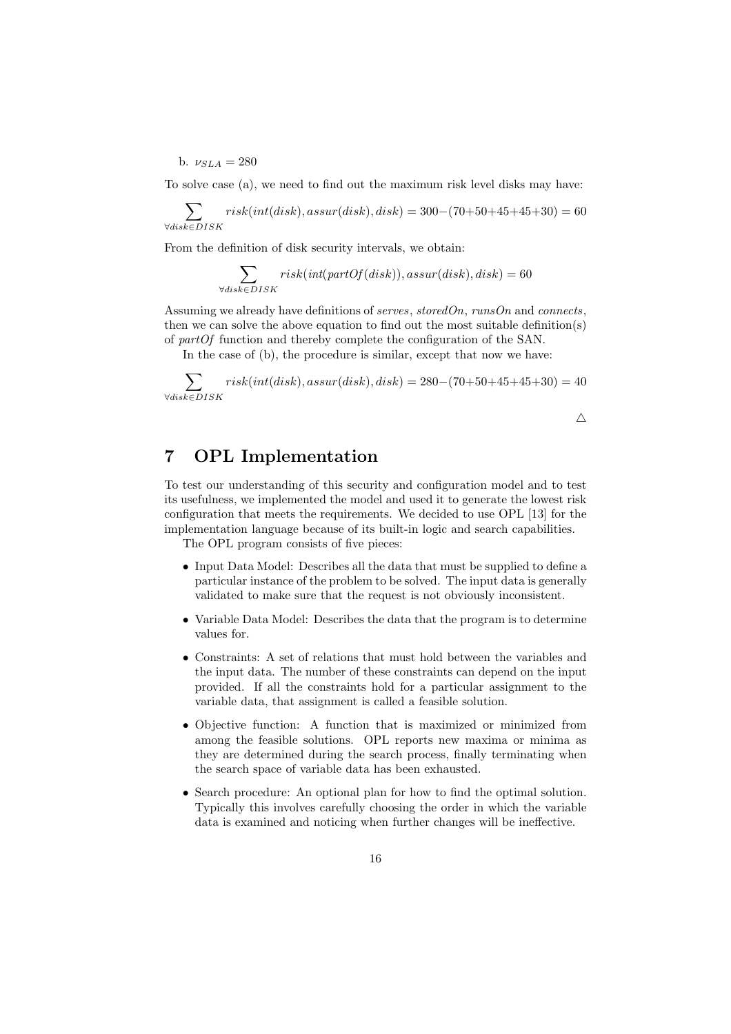b.  $\nu_{SLA} = 280$ 

To solve case (a), we need to find out the maximum risk level disks may have:

 $\sum$ ∀disk∈DISK  $risk(int(disk), assur(disk), disk) = 300-(70+50+45+45+30) = 60$ 

From the definition of disk security intervals, we obtain:

$$
\sum_{\forall disk \in DISK} risk(int(path(),assur(disk),disk) = 60
$$

Assuming we already have definitions of serves, stored On, runsOn and connects, then we can solve the above equation to find out the most suitable definition(s) of partOf function and thereby complete the configuration of the SAN.

In the case of (b), the procedure is similar, except that now we have:

$$
\sum_{\forall disk \in DISK} risk(int(disk),assur(disk),disk) = 280 - (70 + 50 + 45 + 45 + 30) = 40
$$

$$
\triangle
$$

# 7 OPL Implementation

To test our understanding of this security and configuration model and to test its usefulness, we implemented the model and used it to generate the lowest risk configuration that meets the requirements. We decided to use OPL [13] for the implementation language because of its built-in logic and search capabilities.

The OPL program consists of five pieces:

- Input Data Model: Describes all the data that must be supplied to define a particular instance of the problem to be solved. The input data is generally validated to make sure that the request is not obviously inconsistent.
- Variable Data Model: Describes the data that the program is to determine values for.
- Constraints: A set of relations that must hold between the variables and the input data. The number of these constraints can depend on the input provided. If all the constraints hold for a particular assignment to the variable data, that assignment is called a feasible solution.
- Objective function: A function that is maximized or minimized from among the feasible solutions. OPL reports new maxima or minima as they are determined during the search process, finally terminating when the search space of variable data has been exhausted.
- Search procedure: An optional plan for how to find the optimal solution. Typically this involves carefully choosing the order in which the variable data is examined and noticing when further changes will be ineffective.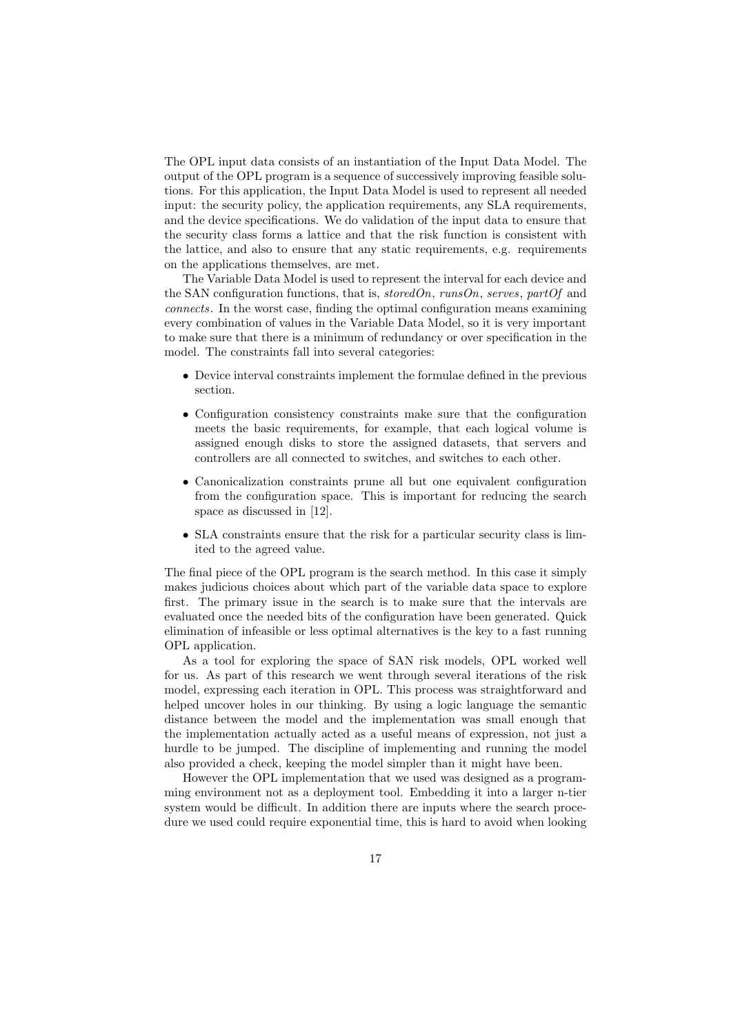The OPL input data consists of an instantiation of the Input Data Model. The output of the OPL program is a sequence of successively improving feasible solutions. For this application, the Input Data Model is used to represent all needed input: the security policy, the application requirements, any SLA requirements, and the device specifications. We do validation of the input data to ensure that the security class forms a lattice and that the risk function is consistent with the lattice, and also to ensure that any static requirements, e.g. requirements on the applications themselves, are met.

The Variable Data Model is used to represent the interval for each device and the SAN configuration functions, that is, stored On, runsOn, serves, partOf and connects. In the worst case, finding the optimal configuration means examining every combination of values in the Variable Data Model, so it is very important to make sure that there is a minimum of redundancy or over specification in the model. The constraints fall into several categories:

- Device interval constraints implement the formulae defined in the previous section.
- Configuration consistency constraints make sure that the configuration meets the basic requirements, for example, that each logical volume is assigned enough disks to store the assigned datasets, that servers and controllers are all connected to switches, and switches to each other.
- Canonicalization constraints prune all but one equivalent configuration from the configuration space. This is important for reducing the search space as discussed in [12].
- SLA constraints ensure that the risk for a particular security class is limited to the agreed value.

The final piece of the OPL program is the search method. In this case it simply makes judicious choices about which part of the variable data space to explore first. The primary issue in the search is to make sure that the intervals are evaluated once the needed bits of the configuration have been generated. Quick elimination of infeasible or less optimal alternatives is the key to a fast running OPL application.

As a tool for exploring the space of SAN risk models, OPL worked well for us. As part of this research we went through several iterations of the risk model, expressing each iteration in OPL. This process was straightforward and helped uncover holes in our thinking. By using a logic language the semantic distance between the model and the implementation was small enough that the implementation actually acted as a useful means of expression, not just a hurdle to be jumped. The discipline of implementing and running the model also provided a check, keeping the model simpler than it might have been.

However the OPL implementation that we used was designed as a programming environment not as a deployment tool. Embedding it into a larger n-tier system would be difficult. In addition there are inputs where the search procedure we used could require exponential time, this is hard to avoid when looking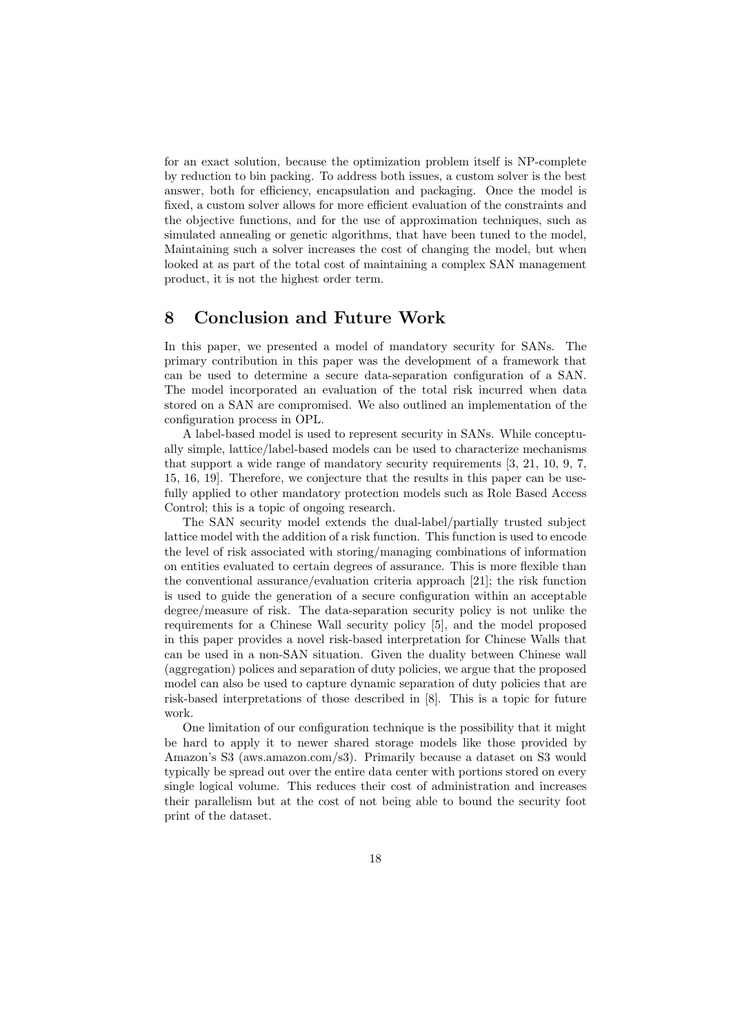for an exact solution, because the optimization problem itself is NP-complete by reduction to bin packing. To address both issues, a custom solver is the best answer, both for efficiency, encapsulation and packaging. Once the model is fixed, a custom solver allows for more efficient evaluation of the constraints and the objective functions, and for the use of approximation techniques, such as simulated annealing or genetic algorithms, that have been tuned to the model, Maintaining such a solver increases the cost of changing the model, but when looked at as part of the total cost of maintaining a complex SAN management product, it is not the highest order term.

### 8 Conclusion and Future Work

In this paper, we presented a model of mandatory security for SANs. The primary contribution in this paper was the development of a framework that can be used to determine a secure data-separation configuration of a SAN. The model incorporated an evaluation of the total risk incurred when data stored on a SAN are compromised. We also outlined an implementation of the configuration process in OPL.

A label-based model is used to represent security in SANs. While conceptually simple, lattice/label-based models can be used to characterize mechanisms that support a wide range of mandatory security requirements [3, 21, 10, 9, 7, 15, 16, 19]. Therefore, we conjecture that the results in this paper can be usefully applied to other mandatory protection models such as Role Based Access Control; this is a topic of ongoing research.

The SAN security model extends the dual-label/partially trusted subject lattice model with the addition of a risk function. This function is used to encode the level of risk associated with storing/managing combinations of information on entities evaluated to certain degrees of assurance. This is more flexible than the conventional assurance/evaluation criteria approach [21]; the risk function is used to guide the generation of a secure configuration within an acceptable degree/measure of risk. The data-separation security policy is not unlike the requirements for a Chinese Wall security policy [5], and the model proposed in this paper provides a novel risk-based interpretation for Chinese Walls that can be used in a non-SAN situation. Given the duality between Chinese wall (aggregation) polices and separation of duty policies, we argue that the proposed model can also be used to capture dynamic separation of duty policies that are risk-based interpretations of those described in [8]. This is a topic for future work.

One limitation of our configuration technique is the possibility that it might be hard to apply it to newer shared storage models like those provided by Amazon's S3 (aws.amazon.com/s3). Primarily because a dataset on S3 would typically be spread out over the entire data center with portions stored on every single logical volume. This reduces their cost of administration and increases their parallelism but at the cost of not being able to bound the security foot print of the dataset.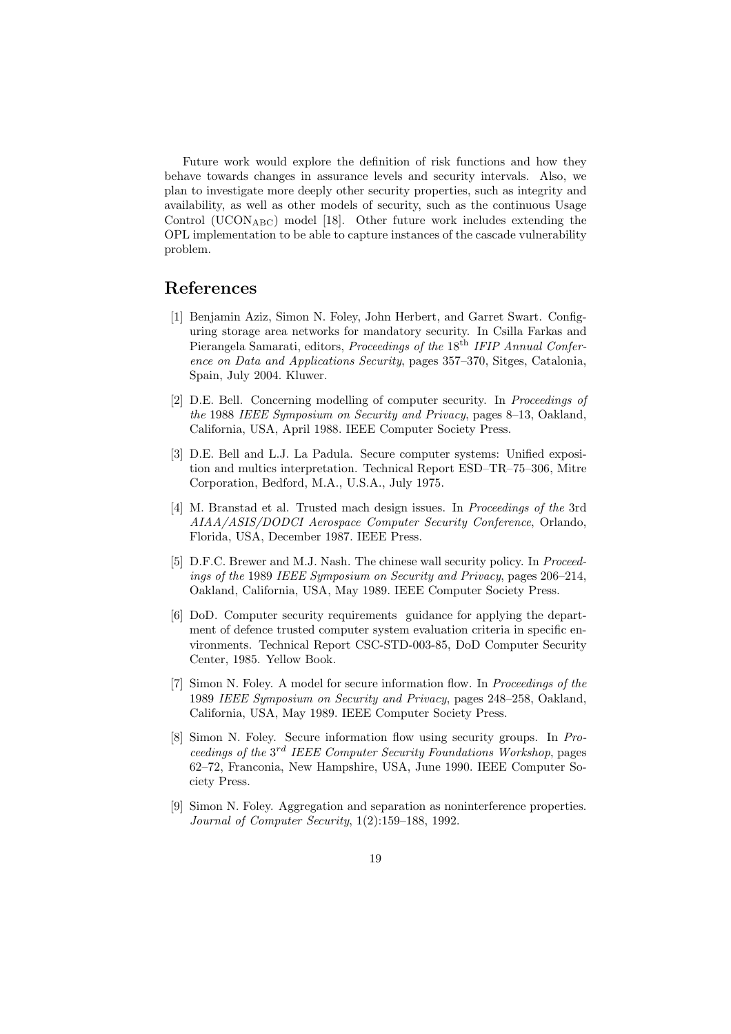Future work would explore the definition of risk functions and how they behave towards changes in assurance levels and security intervals. Also, we plan to investigate more deeply other security properties, such as integrity and availability, as well as other models of security, such as the continuous Usage Control (UCONABC) model [18]. Other future work includes extending the OPL implementation to be able to capture instances of the cascade vulnerability problem.

# References

- [1] Benjamin Aziz, Simon N. Foley, John Herbert, and Garret Swart. Configuring storage area networks for mandatory security. In Csilla Farkas and Pierangela Samarati, editors, *Proceedings of the* 18<sup>th</sup> IFIP Annual Conference on Data and Applications Security, pages 357–370, Sitges, Catalonia, Spain, July 2004. Kluwer.
- [2] D.E. Bell. Concerning modelling of computer security. In Proceedings of the 1988 IEEE Symposium on Security and Privacy, pages 8–13, Oakland, California, USA, April 1988. IEEE Computer Society Press.
- [3] D.E. Bell and L.J. La Padula. Secure computer systems: Unified exposition and multics interpretation. Technical Report ESD–TR–75–306, Mitre Corporation, Bedford, M.A., U.S.A., July 1975.
- [4] M. Branstad et al. Trusted mach design issues. In Proceedings of the 3rd AIAA/ASIS/DODCI Aerospace Computer Security Conference, Orlando, Florida, USA, December 1987. IEEE Press.
- [5] D.F.C. Brewer and M.J. Nash. The chinese wall security policy. In Proceedings of the 1989 IEEE Symposium on Security and Privacy, pages 206–214, Oakland, California, USA, May 1989. IEEE Computer Society Press.
- [6] DoD. Computer security requirements guidance for applying the department of defence trusted computer system evaluation criteria in specific environments. Technical Report CSC-STD-003-85, DoD Computer Security Center, 1985. Yellow Book.
- [7] Simon N. Foley. A model for secure information flow. In Proceedings of the 1989 IEEE Symposium on Security and Privacy, pages 248–258, Oakland, California, USA, May 1989. IEEE Computer Society Press.
- [8] Simon N. Foley. Secure information flow using security groups. In Proceedings of the  $3^{rd}$  IEEE Computer Security Foundations Workshop, pages 62–72, Franconia, New Hampshire, USA, June 1990. IEEE Computer Society Press.
- [9] Simon N. Foley. Aggregation and separation as noninterference properties. Journal of Computer Security, 1(2):159–188, 1992.